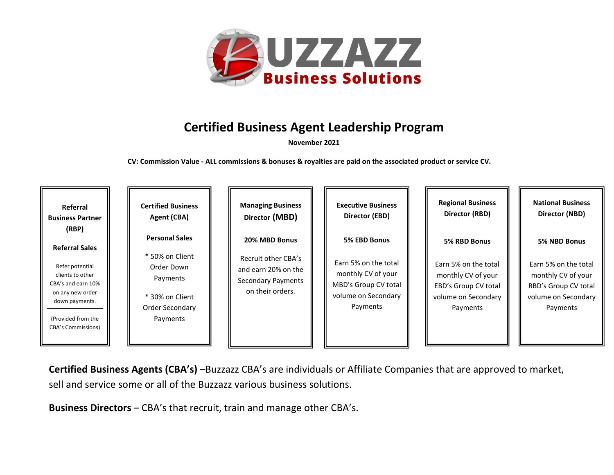

## **Certified Business Agent Leadership Program**

**November 2021**

**CV: Commission Value - ALL commissions & bonuses & royalties are paid on the associated product or service CV.**

| Referral                                                                                                                                                                             | <b>Certified Business</b>                                                                                            | <b>Managing Business</b>                                                                                     | <b>Executive Business</b>                                                                                             | <b>Regional Business</b>                                                                                              | <b>National Business</b>                                                                                              |
|--------------------------------------------------------------------------------------------------------------------------------------------------------------------------------------|----------------------------------------------------------------------------------------------------------------------|--------------------------------------------------------------------------------------------------------------|-----------------------------------------------------------------------------------------------------------------------|-----------------------------------------------------------------------------------------------------------------------|-----------------------------------------------------------------------------------------------------------------------|
| <b>Business Partner</b>                                                                                                                                                              | Agent (CBA)                                                                                                          | Director (MBD)                                                                                               | Director (EBD)                                                                                                        | Director (RBD)                                                                                                        | Director (NBD)                                                                                                        |
| (RBP)<br><b>Referral Sales</b><br>Refer potential<br>clients to other<br>CBA's and earn 10%<br>on any new order<br>down payments.<br>(Provided from the<br><b>CBA's Commissions)</b> | <b>Personal Sales</b><br>* 50% on Client<br>Order Down<br>Payments<br>* 30% on Client<br>Order Secondary<br>Payments | 20% MBD Bonus<br>Recruit other CBA's<br>and earn 20% on the<br><b>Secondary Payments</b><br>on their orders. | 5% EBD Bonus<br>Earn 5% on the total<br>monthly CV of your<br>MBD's Group CV total<br>volume on Secondary<br>Payments | 5% RBD Bonus<br>Earn 5% on the total<br>monthly CV of your<br>EBD's Group CV total<br>volume on Secondary<br>Payments | 5% NBD Bonus<br>Earn 5% on the total<br>monthly CV of your<br>RBD's Group CV total<br>volume on Secondary<br>Payments |

**Certified Business Agents (CBA's)** –Buzzazz CBA's are individuals or Affiliate Companies that are approved to market, sell and service some or all of the Buzzazz various business solutions.

**Business Directors** – CBA's that recruit, train and manage other CBA's.